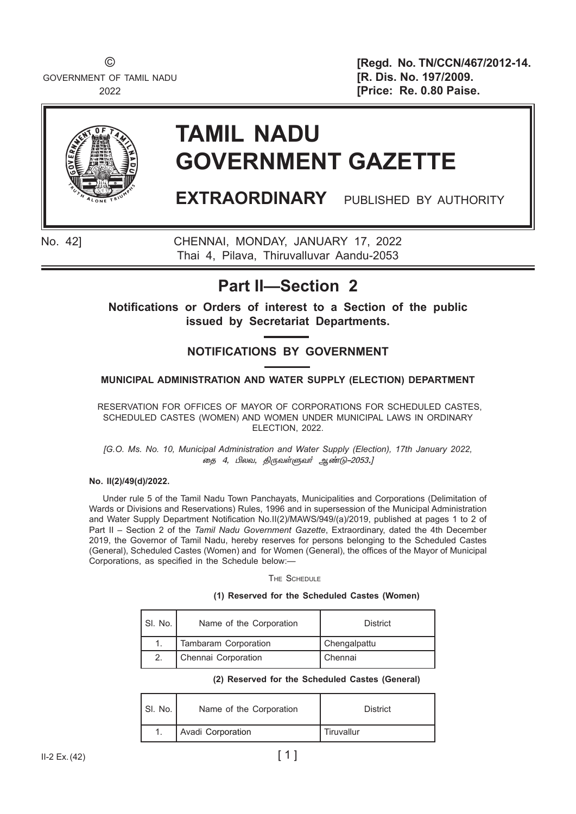GOVERNMENT OF TAMIL NADU **[R. Dis. No. 197/2009.** 

© **[Regd. No. TN/CCN/467/2012-14.** 2022 **[Price: Re. 0.80 Paise.** 



# **TAMIL NADU GOVERNMENT GAZETTE**

**EXTRAORDINARY** PUBLISHED BY AUTHORITY

No. 42] CHENNAI, MONDAY, JANUARY 17, 2022 Thai 4, Pilava, Thiruvalluvar Aandu-2053

## **Part II—Section 2**

**Notifications or Orders of interest to a Section of the public issued by Secretariat Departments.**

### **NOTIFICATIONS BY GOVERNMENT**

#### **MUNICIPAL ADMINISTRATION AND WATER SUPPLY (ELECTION) DEPARTMENT**

 RESERVATION FOR OFFICES OF MAYOR OF CORPORATIONS FOR SCHEDULED CASTES, SCHEDULED CASTES (WOMEN) AND WOMEN UNDER MUNICIPAL LAWS IN ORDINARY ELECTION, 2022.

*[G.O. Ms. No. 10, Municipal Administration and Water Supply (Election), 17th January 2022,* தை 4, பிலவ, திருவள்ளுவர் ஆண்டு–2053.]

#### **No. II(2)/49(d)/2022.**

Under rule 5 of the Tamil Nadu Town Panchayats, Municipalities and Corporations (Delimitation of Wards or Divisions and Reservations) Rules, 1996 and in supersession of the Municipal Administration and Water Supply Department Notification No.II(2)/MAWS/949/(a)/2019, published at pages 1 to 2 of Part II – Section 2 of the *Tamil Nadu Government Gazette*, Extraordinary, dated the 4th December 2019, the Governor of Tamil Nadu, hereby reserves for persons belonging to the Scheduled Castes (General), Scheduled Castes (Women) and for Women (General), the offices of the Mayor of Municipal Corporations, as specified in the Schedule below:—

The Schedule

#### **(1) Reserved for the Scheduled Castes (Women)**

| l SI. No. | Name of the Corporation | <b>District</b> |
|-----------|-------------------------|-----------------|
|           | Tambaram Corporation    | Chengalpattu    |
|           | Chennai Corporation     | Chennai         |

|  |  |  |  | (2) Reserved for the Scheduled Castes (General) |  |  |
|--|--|--|--|-------------------------------------------------|--|--|
|--|--|--|--|-------------------------------------------------|--|--|

| SI. No. | Name of the Corporation | <b>District</b> |
|---------|-------------------------|-----------------|
| 1.      | Avadi Corporation       | Tiruvallur      |